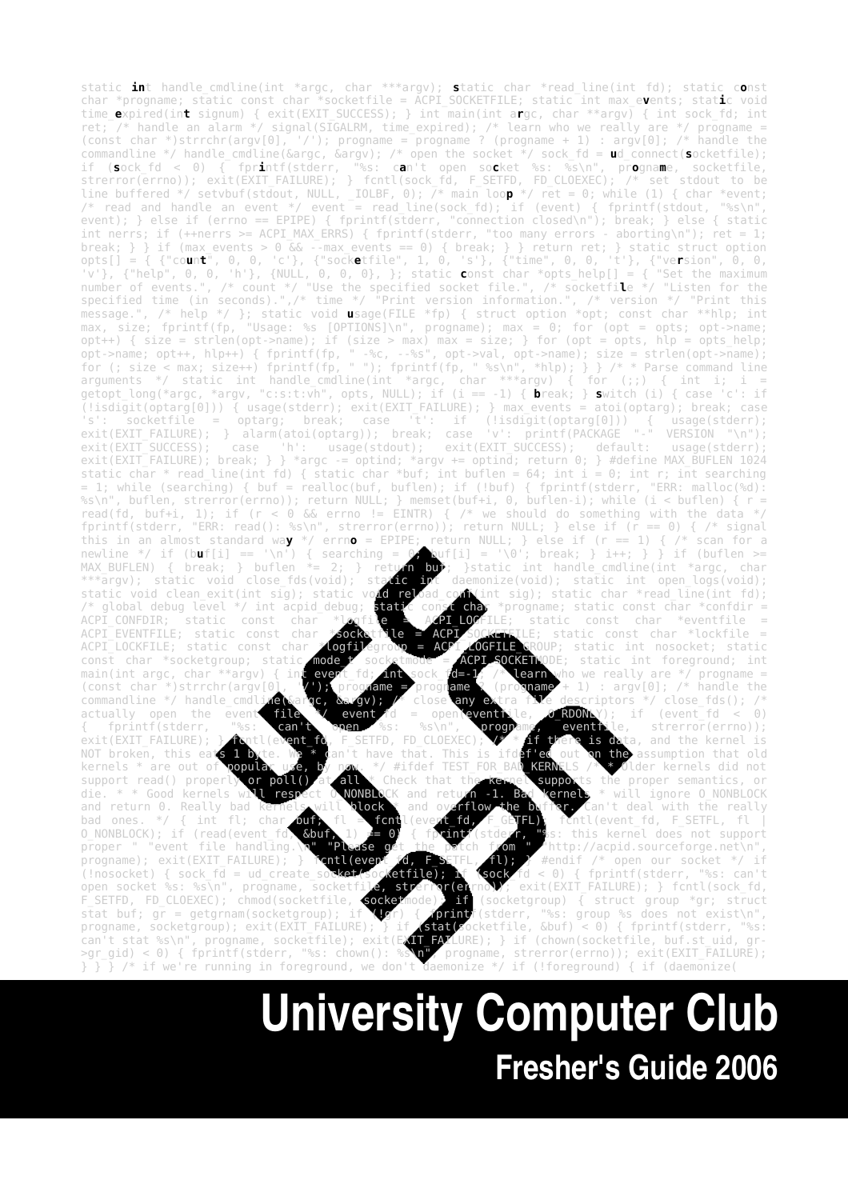static **in**t handle\_cmdline(int \*argc, char \*\*\*argv); **s**tatic char \*read\_line(int fd); static c**o**nst char \*progname; static const char \*socketfile = ACPI\_SOCKETFILE; static int max\_e**v**ents; stat**i**c void time\_**e**xpired(in**t** signum) { exit(EXIT\_SUCCESS); } int main(int a**r**gc, char \*\*argv) { int sock\_fd; int ret; /\* handle an alarm \*/ signal(SIGALRM, time\_expired); /\* learn who we really are \*/ progname = (const char \*)strrchr(argv[0], '/'); progname = progname ? (progname + 1) : argv[0]; /\* handle the commandline \*/ handle\_cmdline(&argc, &argv); /\* open the socket \*/ sock\_fd = **u**d\_connect(**s**ocketfile); if (**s**ock\_fd < 0) { fpr**i**ntf(stderr, "%s: c**a**n't open so**c**ket %s: %s\n", pr**o**gna**m**e, socketfile, strerror(errno)); exit(EXIT\_FAILURE); } fcntl(sock\_fd, F\_SETFD, FD\_CLOEXEC); /\* set stdout to be line buffered \*/ setvbuf(stdout, NULL, \_IOLBF, 0); /\* main loo**p** \*/ ret = 0; while (1) { char \*event; /\* read and handle an event \*/ event = read\_line(sock\_fd); if (event) { fprintf(stdout, "%s\n", event); } else if (errno == EPIPE) { fprintf(stderr, "connection closed\n"); break; } else { static int nerrs; if (++nerrs >= ACPI\_MAX\_ERRS) { fprintf(stderr, "too many errors - aborting\n"); ret = 1; <code>break;</code> }  $\}$  if (max events  $> 0$  && --max events == 0) { <code>break; } } return ret; } static struct option  $\,$ </code> opts[] = { {"co**u**n**t**", 0, 0, 'c'}, {"sock**e**tfile", 1, 0, 's'}, {"time", 0, 0, 't'}, {"ve**r**sion", 0, 0, 'v'}, {"help", 0, 0, 'h'}, {NULL, 0, 0, 0}, }; static **c**onst char \*opts\_help[] = { "Set the maximum number of events.", /\* count \*/ "Use the specified socket file.", /\* socketfi**l**e \*/ "Listen for the specified time (in seconds).",/\* time \*/ "Print version information.", /\* version \*/ "Print this message.", /\* help \*/ }; static void **u**sage(FILE \*fp) { struct option \*opt; const char \*\*hlp; int max, size; fprintf(fp, "Usage: %s [OPTIONS]\n", progname); max = 0; for (opt = opts; opt->name; opt++) { size = strlen(opt->name); if (size > max) max = size; } for (opt = opts, hlp = opts help; opt->name; opt++, hlp++) { fprintf(fp, " -%c, --%s", opt->val, opt->name); size = strlen(opt->name); for (; size < max; size++) fprintf(fp, " "); fprintf(fp, " %s\n", \*hlp); } } /\* \* Parse command line arguments \*/ static int handle\_cmdline(int \*argc, char \*\*\*argv) { for (;;) { int i; i = getopt\_long(\*argc, \*argv, "c:s:t:vh", opts, NULL); if (i == -1) { **b**reak; } **s**witch (i) { case 'c': if (!isdigit(optarg[0])) { usage(stderr); exit(EXIT\_FAILURE); } max\_events = atoi(optarg); break; case 's': socketfile = optarg; break; case 't': if (!isdigit(optarg[0])) { usage(stderr); exit(EXIT\_FAILURE); } alarm(atoi(optarg)); break; case 'v': printf(PACKAGE "-" VERSION "\n");<br>exit(EXIT\_SUCCESS); case 'h': usage(stdout); exit(EXIT\_SUCCESS); default: usage(stderr); exit(EXIT\_SUCCESS); default: usage(stdout); exit(EXIT\_SUCCESS); default: usage(stderr); exit(EXIT\_EXILURE); break; } } \*argc -= optind; \*argv += optind; return 0; } #define MAX\_BUFLEN 1024 static char \* read\_line(int fd) { static char \*buf; int buflen = 64; int i = 0; int r; int searching = 1; while (searching) { buf = realloc(buf, buflen); if (!buf) { fprintf(stderr, "ERR: malloc(%d): %s\n", buflen, strerror(errno)); return NULL; } memset(buf+i, 0, buflen-i); while (i < buflen) { r = read(fd, buf+i, 1); if (r < 0 && errno != EINTR) { /\* we should do something with the data \*/ fprintf(stderr, "ERR: read(): %s\n", strerror(errno)); return NULL; } else if (r == 0) { /\* signal this in an almost standard way \*/ errno = EPIPE; return NULL; } else if (r == 1) { /\* scan for a<br>newline \*/ if (buf[i] == '\n') { searching = 0 buf[i] = '\0'; break; } i++; } } if (buflen >= newline \*/ if (b**u**f[i] == '\n') { searching = 0; buf[i] = '\0'; break; } i++; } } if (buflen >= MAX\_BUFLEN) { break; } buflen \*= 2; } return buf; } static int handle\_cmdline(int \*argc, char \*\*\*argv); static void close fd MAX\_BUFLEN) { break; } buflen  $*= 2;$  } return buf; }static int handle\_cmdline(int \*argc, char \*\*\*argv); static void close\_fds(void); static int daemonize(void); static int open\_logs(void);<br>static void clean exit(int sig); static void reload cont(int sig); static char \*read\_line(int fd); p<mark>id relo</mark>ad\_conf(int sig); static char \*read\_line(int fd);<br><mark>static const cha</mark>r \*progname; static const char \*confdir = /\* global debug level \*/ int acpid\_debug; static const char \*progname; static const char \*confdir =<br>ACPI CONFDIR: static const char \*logfile = ACPI LOCFILE: static const char \*eventfile = ACPI\_CONFDIR; static const char \*logfile =  $\overline{API}$  LOGFILE; static const char \*eventfile = ACPI\_SOCKETEILE; static const char \*lockfile =  $ACPI$  EVENTFILE; static const char  $*$ socketiile =  $ACPI$  socketFile  $ACPI$   $CCFIT$  $ACPI\_LOCKFILE;$  static const char  $\angle$  logfilegroup = ACPI\_AOGFILE\_GROUP; static int nosocket; static<br>const char \*socketgroup; static mode t socketmode = ACPI\_SOCKETWODE; static int foreground; int const char \*socketgroup; static mode t socketmode = ACPI\_SOCKETMODE; main(int argc, char \*\*argv) { int event for an sock for  $\frac{1}{2}$  $\frac{1}{\sqrt{10}}$  are  $\frac{1}{\sqrt{10}}$  sock\_fd=-1; /\* learn who we really are \*/ progname = (const char \*)strrchr(argv[0], '/'); progname = progname ? (progname + 1) : argv[0]; /\* handle the<br>commandline \*/ handle cmdline(Sargc, Sargv); /\* close any extra file descriptors \*/ close fds(); /\* ic,  $\frac{\partial c}{\partial x}$ (gv); /\* close any extra file descriptors \*/ close\_fds(); /\*<br>\*/ event fd = open(eventile, 0 RDONLY); if (event\_fd < 0) actually open the event file  $N$  event fd = open(eventitle,  $\sigma$  RDONLY); if (event fd < 0)<br>{ fprintf(stderr, "%s: can't open %s: %s\n", programs, eventitle, strerror(errno)); { fprintf(stderr, "%s: can't open %s: %s\n", programe, eventfile, strerror(errno));<br>exit(EXIT\_FAILURE); } fortl(event\_fd, F\_SETFD, FD\_CLOEXEC); # if there is data, and the kernel is ta, and the kernel is<br>eassumption that old NOT broken, this eats 1 byte. We \* can't have that. This is ifdef'ed out on the kernels \* are out of **popular use, by now.** \*/ #ifdef TEST\_FOR\_BAD\_**KERNELS** /\* \* Older kernels did not<br>support read() properly or poll() at all \* Check that the kernel supports the proper semantics, or<br>die. \* \* Good kern support read() properly or poll() at all \* Check that the kernel supports the proper semantics, or<br>die. \* \* Good kernels will respect O NONBLOCK and return -1. Bad kernels \* will ignore O NONBLOCK respect O\_NONBLOCK and return -1. Bad kernels \* will ignore O\_NONBLOCK and return 0. Really bad kernels will block \* and overflow the buffer. Can't deal with the really<br>bad ones. \*/ { int fl; char out, fl = fcntl(evert fd, F GETFL); fcntl(event fd, F SETFL, fl | bad ones. \*/ { int fl; char buf; fl = fcntl(event fd, F\_GETFL); fcntl(event\_fd, F\_SETFL, fl<br>0 NONBLOCK); if (read(event fd, &buf, 1) = 0) { fprintf(stderf, "ss: this kernel does not support  $0$ \_NONBLOCK); if (read(event\_fd) &buf, 1)  $\neq 0$ ) { fprintf(stderr, "\$s: this kernel does not support<br>proper " "event file handling.\n" "Please get the patch from " "http://acpid.sourceforge.net\n", " http://acpid.sourceforge.net\n"<br>#endif /\* open our socket \*/ i progname); exit(EXIT\_FAILURE); } fontl(event fd, F\_SETFL, fl); } #endif /\* open our socket \*/ if<br>(!nosocket) { sock fd = ud create socket(socketfile); \f (sock fd < 0) { fprintf(stderr, "%s: can't (!nosocket) {  $\text{sock-fd} = \text{ud\_create\_socket}(\text{socketfile})$ ; open socket %s: %s\n", progname, socketfile, strerror<br>F SETFD, FD CLOEXEC); chmod(socketfile, socketmode); open socket %s: %s\n", progname, socketfi**le, strerror(er**rno**))**; exit(EXIT\_FAILURE); } fcntl(sock\_fd, F\_SETFD, FD\_CLOEXEC); chmod(socketfile, **socket**mode); if (socketgroup) { struct group \*gr; struct stat buf;  $g\bar{r}$  = getgrnam(socketgroup); if (Uqr) { for interfactderr, "%s: group %s does not exist\n", progname, socketgroup); exit(EXIT\_FAILURE); } if **(stat(s**ocketfile, &buf) < 0) { fprintf(stderr, "%s:<br>can't stat %s\n", progname, socketfile); exit(EXIT FAILURE); } if (chown(socketfile, buf.st\_uid, gr can't stat %s\n", progname, socketfile); exit(EXIT]<br>>gr\_gid) < 0) { fprintf(stderr, "%s: chown(): %s\n progname, strerror(errno)); exit(EXIT\_FAILURE); } } } /\* if we're running in foreground, we don't daemonize \*/ if (!foreground) { if (daemonize(

# **University Computer Club Fresher's Guide 2006**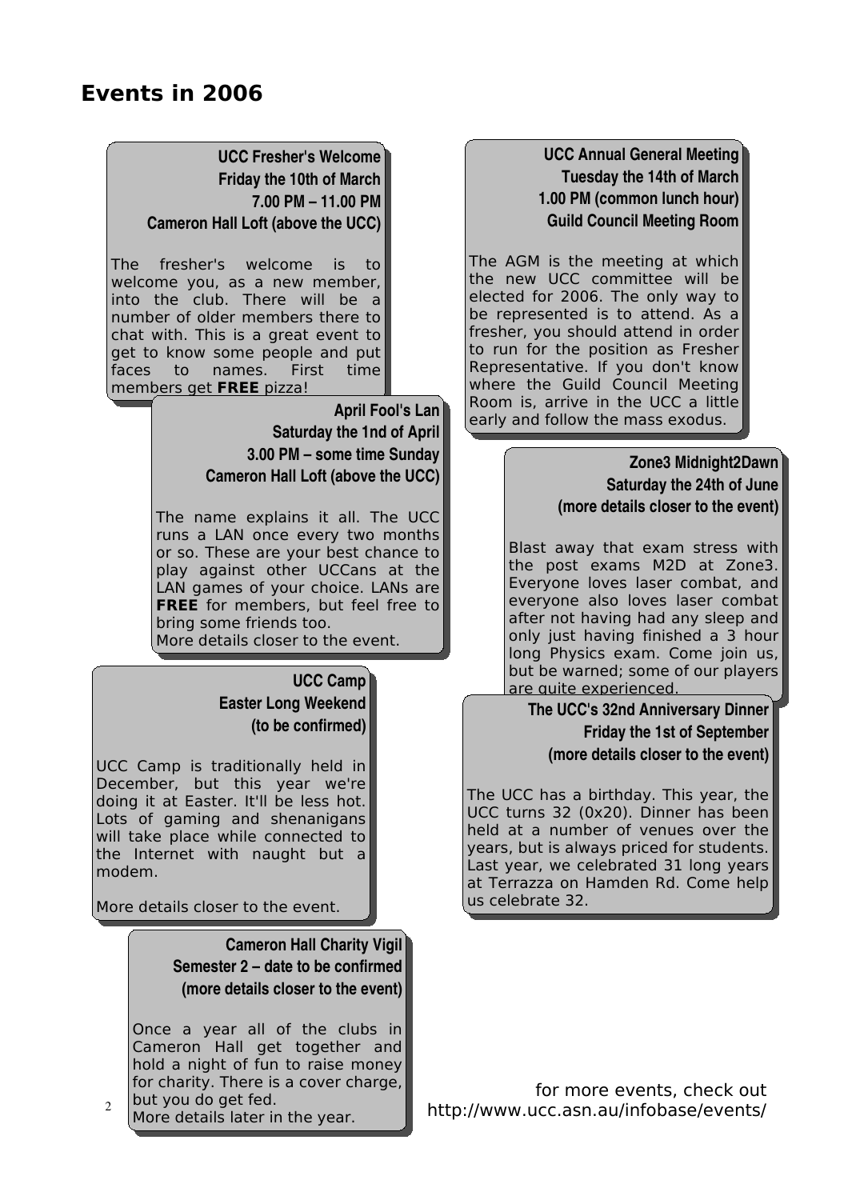#### **UCC Fresher's Welcome Friday the 10th of March 7.00 PM – 11.00 PM Cameron Hall Loft (above the UCC)**

The fresher's welcome is to welcome you, as a new member, into the club. There will be a number of older members there to chat with. This is a great event to get to know some people and put faces to names. First time members get **FREE** pizza!

#### **April Fool's Lan Saturday the 1nd of April 3.00 PM – some time Sunday Cameron Hall Loft (above the UCC)**

The name explains it all. The UCC runs a LAN once every two months or so. These are your best chance to play against other UCCans at the LAN games of your choice. LANs are **FREE** for members, but feel free to bring some friends too.

More details closer to the event.

#### **UCC Camp Easter Long Weekend (to be confirmed)**

UCC Camp is traditionally held in December, but this year we're doing it at Easter. It'll be less hot. Lots of gaming and shenanigans will take place while connected to the Internet with naught but a modem.

More details closer to the event.

**Cameron Hall Charity Vigil Semester 2 – date to be confirmed (more details closer to the event)**

Once a year all of the clubs in Cameron Hall get together and hold a night of fun to raise money for charity. There is a cover charge, but you do get fed.

2 More details later in the year.

**UCC Annual General Meeting Tuesday the 14th of March 1.00 PM (common lunch hour) Guild Council Meeting Room**

The AGM is the meeting at which the new UCC committee will be elected for 2006. The only way to be represented is to attend. As a fresher, you should attend in order to run for the position as Fresher Representative. If you don't know where the Guild Council Meeting Room is, arrive in the UCC a little early and follow the mass exodus.

#### **Zone3 Midnight2Dawn Saturday the 24th of June (more details closer to the event)**

Blast away that exam stress with the post exams M2D at Zone3. Everyone loves laser combat, and everyone also loves laser combat after not having had any sleep and only just having finished a 3 hour long Physics exam. Come join us, but be warned; some of our players are quite experienced.

**The UCC's 32nd Anniversary Dinner Friday the 1st of September (more details closer to the event)**

The UCC has a birthday. This year, the UCC turns 32 (0x20). Dinner has been held at a number of venues over the years, but is always priced for students. Last year, we celebrated 31 long years at Terrazza on Hamden Rd. Come help us celebrate 32.

for more events, check out http://www.ucc.asn.au/infobase/events/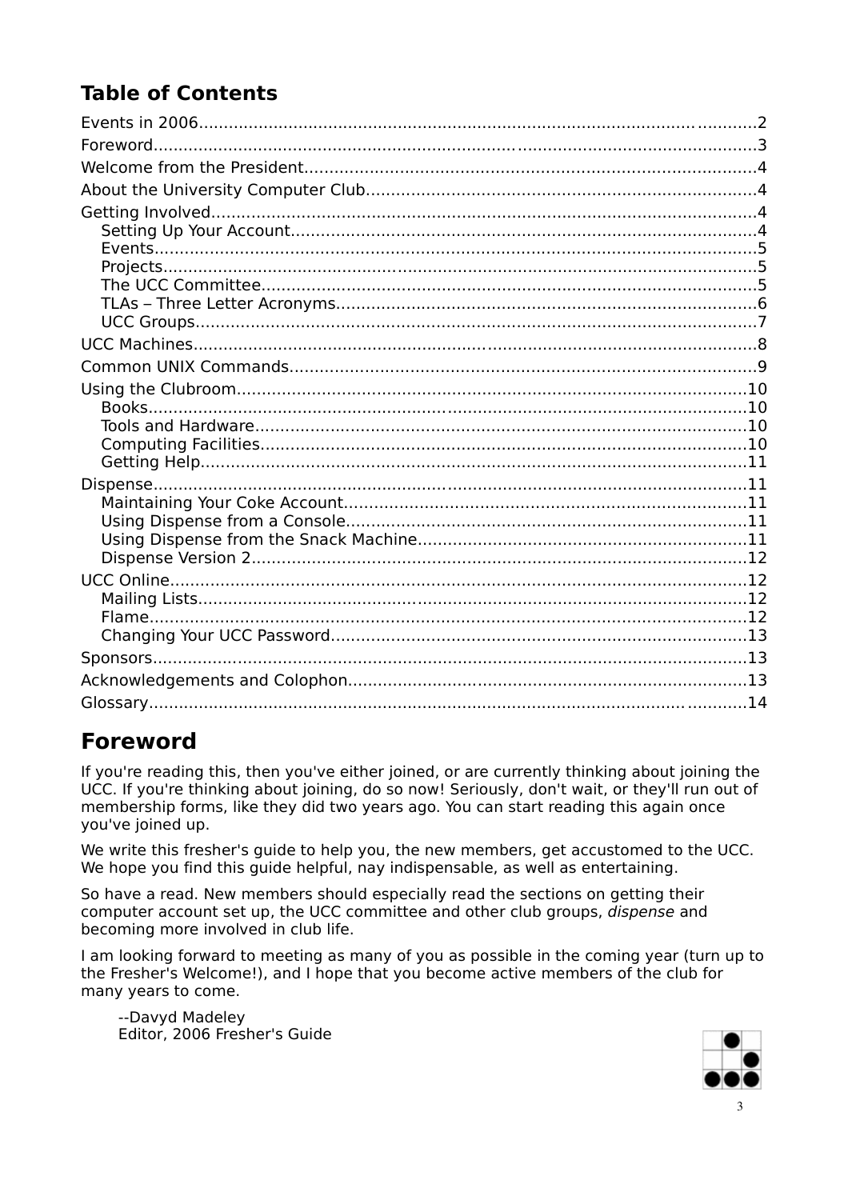# **Table of Contents**

### **Foreword**

If you're reading this, then you've either joined, or are currently thinking about joining the UCC. If you're thinking about joining, do so now! Seriously, don't wait, or they'll run out of membership forms, like they did two years ago. You can start reading this again once vou've joined up.

We write this fresher's quide to help you, the new members, get accustomed to the UCC. We hope you find this quide helpful, nay indispensable, as well as entertaining.

So have a read. New members should especially read the sections on getting their computer account set up, the UCC committee and other club groups, dispense and becoming more involved in club life.

I am looking forward to meeting as many of you as possible in the coming year (turn up to the Fresher's Welcome!), and I hope that you become active members of the club for many years to come.

--Davyd Madeley Editor, 2006 Fresher's Guide

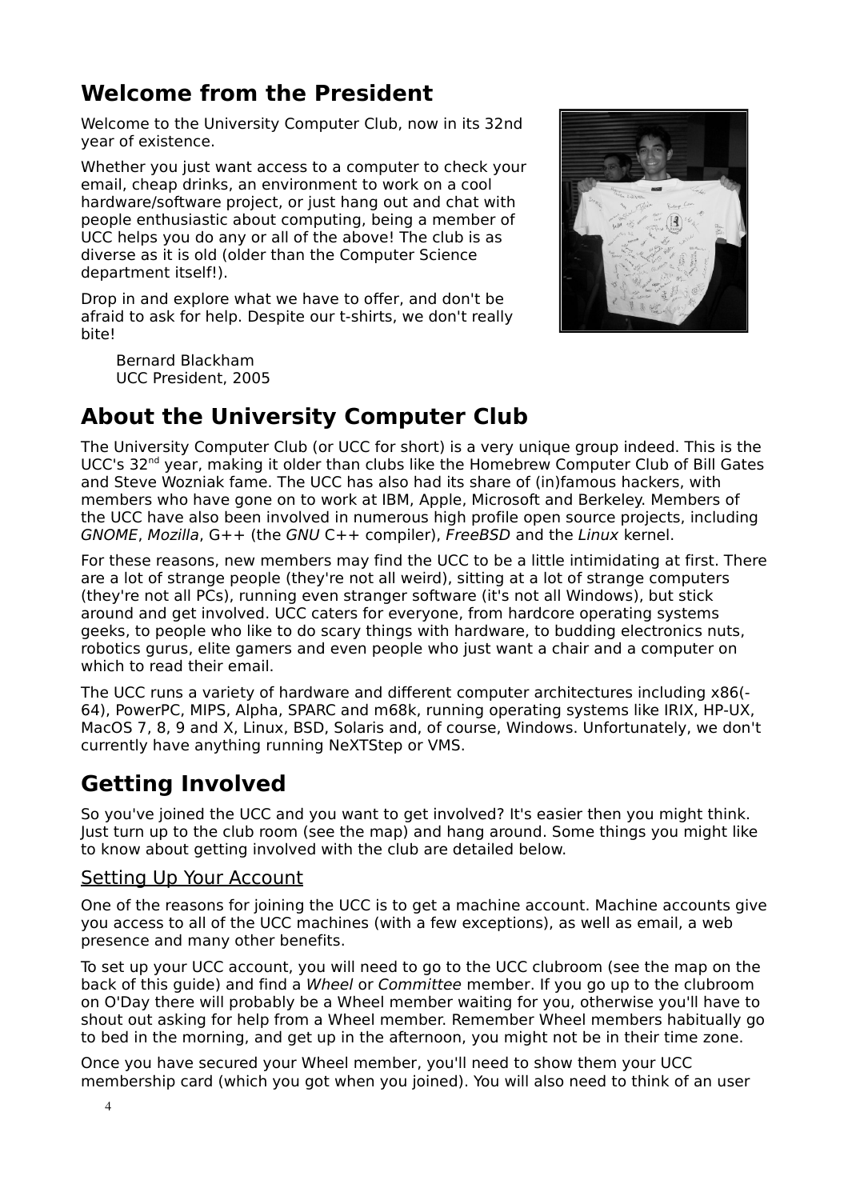## **Welcome from the President**

Welcome to the University Computer Club, now in its 32nd year of existence.

Whether you just want access to a computer to check your email, cheap drinks, an environment to work on a cool hardware/software project, or just hang out and chat with people enthusiastic about computing, being a member of UCC helps you do any or all of the above! The club is as diverse as it is old (older than the Computer Science department itself!).

Drop in and explore what we have to offer, and don't be afraid to ask for help. Despite our t-shirts, we don't really bite!

Bernard Blackham UCC President, 2005



### **About the University Computer Club**

The University Computer Club (or UCC for short) is a very unique group indeed. This is the UCC's 32<sup>nd</sup> year, making it older than clubs like the Homebrew Computer Club of Bill Gates and Steve Wozniak fame. The UCC has also had its share of (in)famous hackers, with members who have gone on to work at IBM, Apple, Microsoft and Berkeley. Members of the UCC have also been involved in numerous high profile open source projects, including GNOME, Mozilla, G++ (the GNU C++ compiler), FreeBSD and the Linux kernel.

For these reasons, new members may find the UCC to be a little intimidating at first. There are a lot of strange people (they're not all weird), sitting at a lot of strange computers (they're not all PCs), running even stranger software (it's not all Windows), but stick around and get involved. UCC caters for everyone, from hardcore operating systems geeks, to people who like to do scary things with hardware, to budding electronics nuts, robotics gurus, elite gamers and even people who just want a chair and a computer on which to read their email.

The UCC runs a variety of hardware and different computer architectures including x86(- 64), PowerPC, MIPS, Alpha, SPARC and m68k, running operating systems like IRIX, HP-UX, MacOS 7, 8, 9 and X, Linux, BSD, Solaris and, of course, Windows. Unfortunately, we don't currently have anything running NeXTStep or VMS.

### **Getting Involved**

So you've joined the UCC and you want to get involved? It's easier then you might think. Just turn up to the club room (see the map) and hang around. Some things you might like to know about getting involved with the club are detailed below.

#### Setting Up Your Account

One of the reasons for joining the UCC is to get a machine account. Machine accounts give you access to all of the UCC machines (with a few exceptions), as well as email, a web presence and many other benefits.

To set up your UCC account, you will need to go to the UCC clubroom (see the map on the back of this guide) and find a Wheel or Committee member. If you go up to the clubroom on O'Day there will probably be a Wheel member waiting for you, otherwise you'll have to shout out asking for help from a Wheel member. Remember Wheel members habitually go to bed in the morning, and get up in the afternoon, you might not be in their time zone.

Once you have secured your Wheel member, you'll need to show them your UCC membership card (which you got when you joined). You will also need to think of an user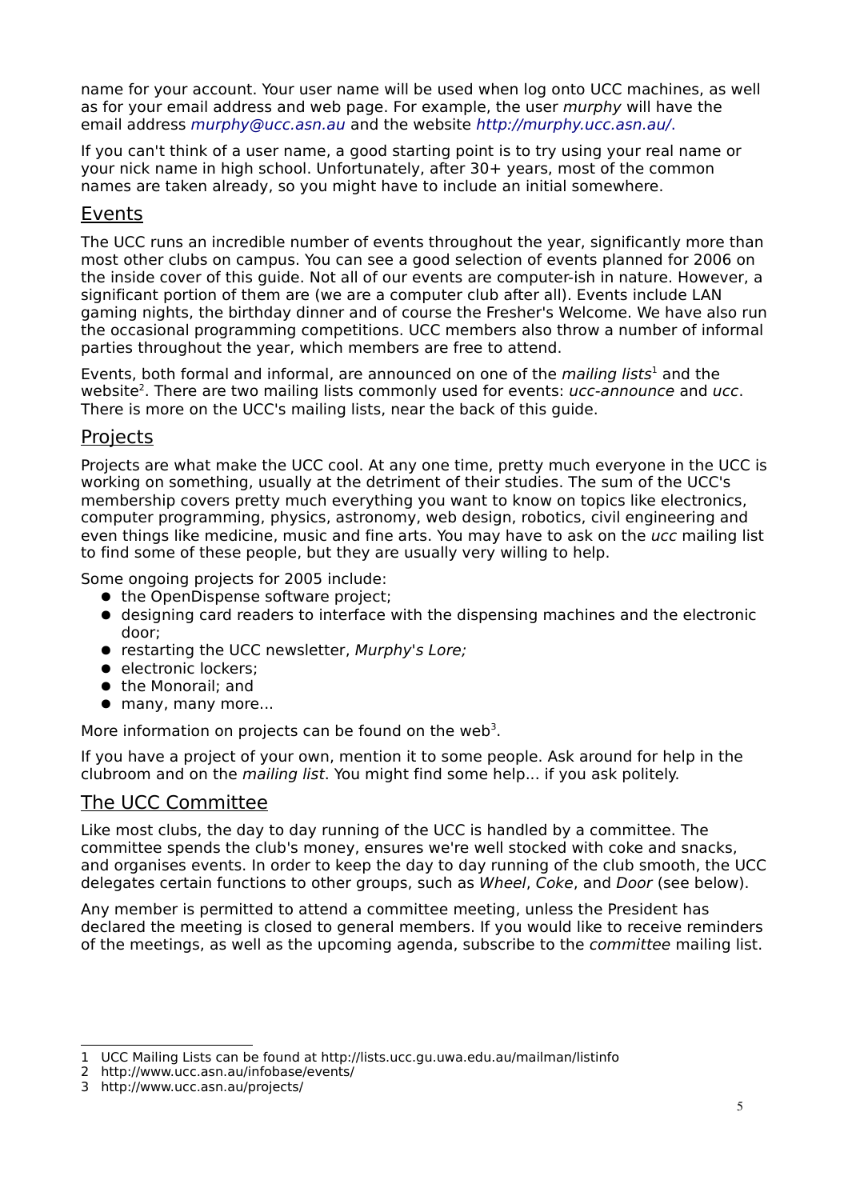name for your account. Your user name will be used when log onto UCC machines, as well as for your email address and web page. For example, the user murphy will have the email address [murphy@ucc.asn.au](mailto:murphy@ucc.asn.au) and the website <http://murphy.ucc.asn.au/>.

If you can't think of a user name, a good starting point is to try using your real name or your nick name in high school. Unfortunately, after 30+ years, most of the common names are taken already, so you might have to include an initial somewhere.

#### Events

The UCC runs an incredible number of events throughout the year, significantly more than most other clubs on campus. You can see a good selection of events planned for 2006 on the inside cover of this guide. Not all of our events are computer-ish in nature. However, a significant portion of them are (we are a computer club after all). Events include LAN gaming nights, the birthday dinner and of course the Fresher's Welcome. We have also run the occasional programming competitions. UCC members also throw a number of informal parties throughout the year, which members are free to attend.

Events, both formal and informal, are announced on one of the mailing lists<sup>[1](#page-4-0)</sup> and the website<sup>[2](#page-4-1)</sup>. There are two mailing lists commonly used for events: ucc-announce and ucc. There is more on the UCC's mailing lists, near the back of this guide.

#### **Projects**

Projects are what make the UCC cool. At any one time, pretty much everyone in the UCC is working on something, usually at the detriment of their studies. The sum of the UCC's membership covers pretty much everything you want to know on topics like electronics, computer programming, physics, astronomy, web design, robotics, civil engineering and even things like medicine, music and fine arts. You may have to ask on the ucc mailing list to find some of these people, but they are usually very willing to help.

Some ongoing projects for 2005 include:

- the OpenDispense software project;
- designing card readers to interface with the dispensing machines and the electronic door;
- restarting the UCC newsletter, Murphy's Lore;
- electronic lockers:
- the Monorail; and
- many, many more...

More information on projects can be found on the web<sup>[3](#page-4-2)</sup>.

If you have a project of your own, mention it to some people. Ask around for help in the clubroom and on the mailing list. You might find some help... if you ask politely.

#### The UCC Committee

Like most clubs, the day to day running of the UCC is handled by a committee. The committee spends the club's money, ensures we're well stocked with coke and snacks, and organises events. In order to keep the day to day running of the club smooth, the UCC delegates certain functions to other groups, such as Wheel, Coke, and Door (see below).

Any member is permitted to attend a committee meeting, unless the President has declared the meeting is closed to general members. If you would like to receive reminders of the meetings, as well as the upcoming agenda, subscribe to the *committee* mailing list.

<span id="page-4-0"></span><sup>1</sup> UCC Mailing Lists can be found at http://lists.ucc.gu.uwa.edu.au/mailman/listinfo

<span id="page-4-1"></span><sup>2</sup> http://www.ucc.asn.au/infobase/events/

<span id="page-4-2"></span><sup>3</sup> http://www.ucc.asn.au/projects/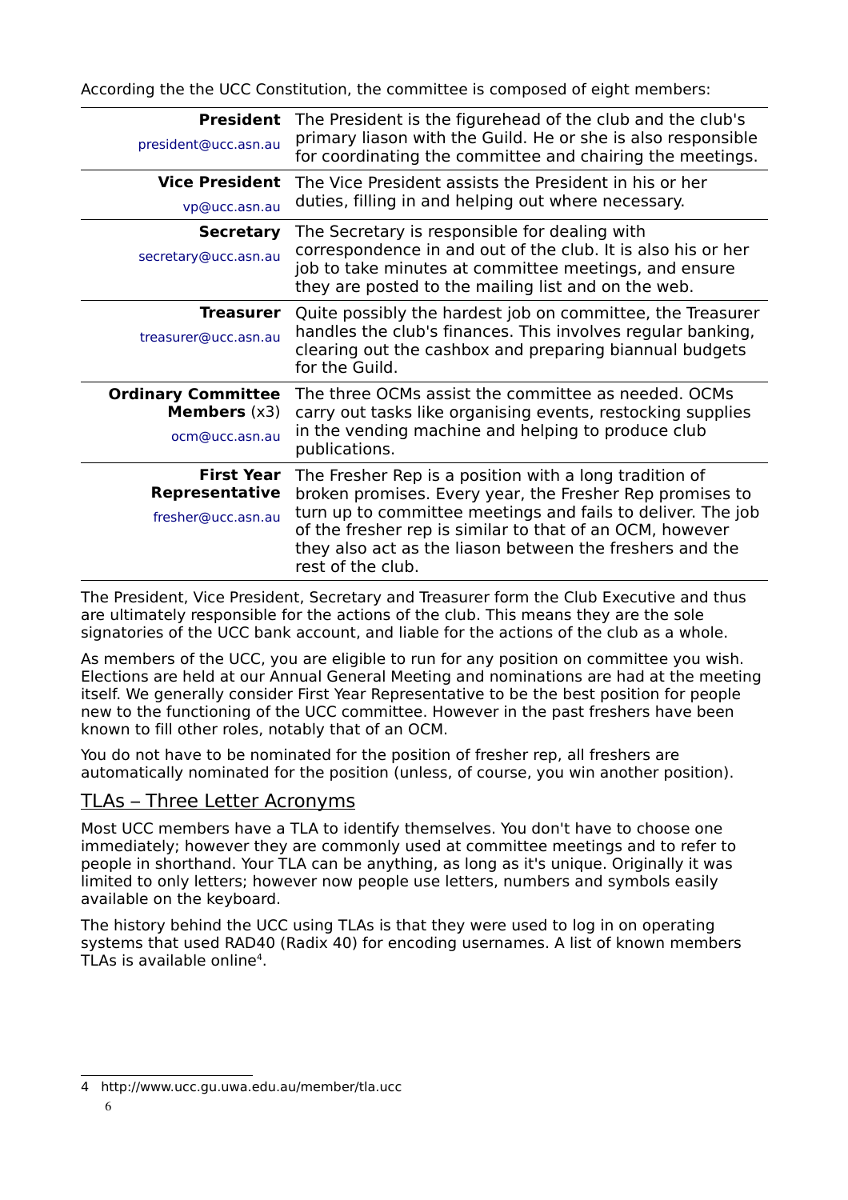According the the UCC Constitution, the committee is composed of eight members:

| <b>President</b><br>president@ucc.asn.au                             | The President is the figurehead of the club and the club's<br>primary liason with the Guild. He or she is also responsible<br>for coordinating the committee and chairing the meetings.                                                                                                                                        |
|----------------------------------------------------------------------|--------------------------------------------------------------------------------------------------------------------------------------------------------------------------------------------------------------------------------------------------------------------------------------------------------------------------------|
| <b>Vice President</b><br>vp@ucc.asn.au                               | The Vice President assists the President in his or her<br>duties, filling in and helping out where necessary.                                                                                                                                                                                                                  |
| <b>Secretary</b><br>secretary@ucc.asn.au                             | The Secretary is responsible for dealing with<br>correspondence in and out of the club. It is also his or her<br>job to take minutes at committee meetings, and ensure<br>they are posted to the mailing list and on the web.                                                                                                  |
| Treasurer<br>treasurer@ucc.asn.au                                    | Quite possibly the hardest job on committee, the Treasurer<br>handles the club's finances. This involves regular banking,<br>clearing out the cashbox and preparing biannual budgets<br>for the Guild.                                                                                                                         |
| <b>Ordinary Committee</b><br><b>Members</b> $(x3)$<br>ocm@ucc.asn.au | The three OCMs assist the committee as needed. OCMs<br>carry out tasks like organising events, restocking supplies<br>in the vending machine and helping to produce club<br>publications.                                                                                                                                      |
| <b>First Year</b><br><b>Representative</b><br>fresher@ucc.asn.au     | The Fresher Rep is a position with a long tradition of<br>broken promises. Every year, the Fresher Rep promises to<br>turn up to committee meetings and fails to deliver. The job<br>of the fresher rep is similar to that of an OCM, however<br>they also act as the liason between the freshers and the<br>rest of the club. |

The President, Vice President, Secretary and Treasurer form the Club Executive and thus are ultimately responsible for the actions of the club. This means they are the sole signatories of the UCC bank account, and liable for the actions of the club as a whole.

As members of the UCC, you are eligible to run for any position on committee you wish. Elections are held at our Annual General Meeting and nominations are had at the meeting itself. We generally consider First Year Representative to be the best position for people new to the functioning of the UCC committee. However in the past freshers have been known to fill other roles, notably that of an OCM.

You do not have to be nominated for the position of fresher rep, all freshers are automatically nominated for the position (unless, of course, you win another position).

#### TLAs – Three Letter Acronyms

Most UCC members have a TLA to identify themselves. You don't have to choose one immediately; however they are commonly used at committee meetings and to refer to people in shorthand. Your TLA can be anything, as long as it's unique. Originally it was limited to only letters; however now people use letters, numbers and symbols easily available on the keyboard.

The history behind the UCC using TLAs is that they were used to log in on operating systems that used RAD40 (Radix 40) for encoding usernames. A list of known members TLAs is available online [4](#page-5-0) .

<span id="page-5-0"></span><sup>4</sup> http://www.ucc.gu.uwa.edu.au/member/tla.ucc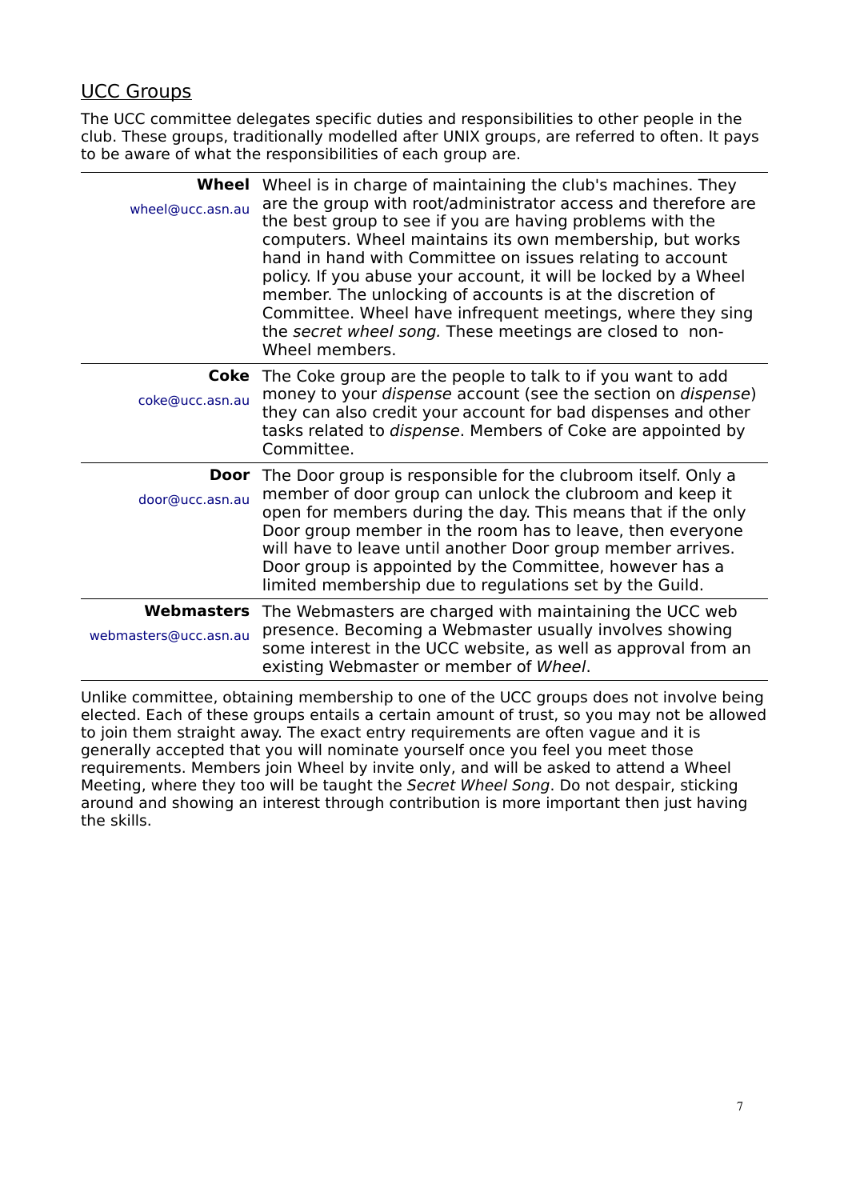### UCC Groups

The UCC committee delegates specific duties and responsibilities to other people in the club. These groups, traditionally modelled after UNIX groups, are referred to often. It pays to be aware of what the responsibilities of each group are.

| wheel@ucc.asn.au      | Wheel Wheel is in charge of maintaining the club's machines. They<br>are the group with root/administrator access and therefore are<br>the best group to see if you are having problems with the<br>computers. Wheel maintains its own membership, but works<br>hand in hand with Committee on issues relating to account<br>policy. If you abuse your account, it will be locked by a Wheel<br>member. The unlocking of accounts is at the discretion of<br>Committee. Wheel have infrequent meetings, where they sing<br>the secret wheel song. These meetings are closed to non-<br>Wheel members. |
|-----------------------|-------------------------------------------------------------------------------------------------------------------------------------------------------------------------------------------------------------------------------------------------------------------------------------------------------------------------------------------------------------------------------------------------------------------------------------------------------------------------------------------------------------------------------------------------------------------------------------------------------|
| coke@ucc.asn.au       | <b>Coke</b> The Coke group are the people to talk to if you want to add<br>money to your dispense account (see the section on dispense)<br>they can also credit your account for bad dispenses and other<br>tasks related to <i>dispense</i> . Members of Coke are appointed by<br>Committee.                                                                                                                                                                                                                                                                                                         |
| door@ucc.asn.au       | <b>Door</b> The Door group is responsible for the clubroom itself. Only a<br>member of door group can unlock the clubroom and keep it<br>open for members during the day. This means that if the only<br>Door group member in the room has to leave, then everyone<br>will have to leave until another Door group member arrives.<br>Door group is appointed by the Committee, however has a<br>limited membership due to regulations set by the Guild.                                                                                                                                               |
| webmasters@ucc.asn.au | <b>Webmasters</b> The Webmasters are charged with maintaining the UCC web<br>presence. Becoming a Webmaster usually involves showing<br>some interest in the UCC website, as well as approval from an<br>existing Webmaster or member of Wheel.                                                                                                                                                                                                                                                                                                                                                       |

Unlike committee, obtaining membership to one of the UCC groups does not involve being elected. Each of these groups entails a certain amount of trust, so you may not be allowed to join them straight away. The exact entry requirements are often vague and it is generally accepted that you will nominate yourself once you feel you meet those requirements. Members join Wheel by invite only, and will be asked to attend a Wheel Meeting, where they too will be taught the Secret Wheel Song. Do not despair, sticking around and showing an interest through contribution is more important then just having the skills.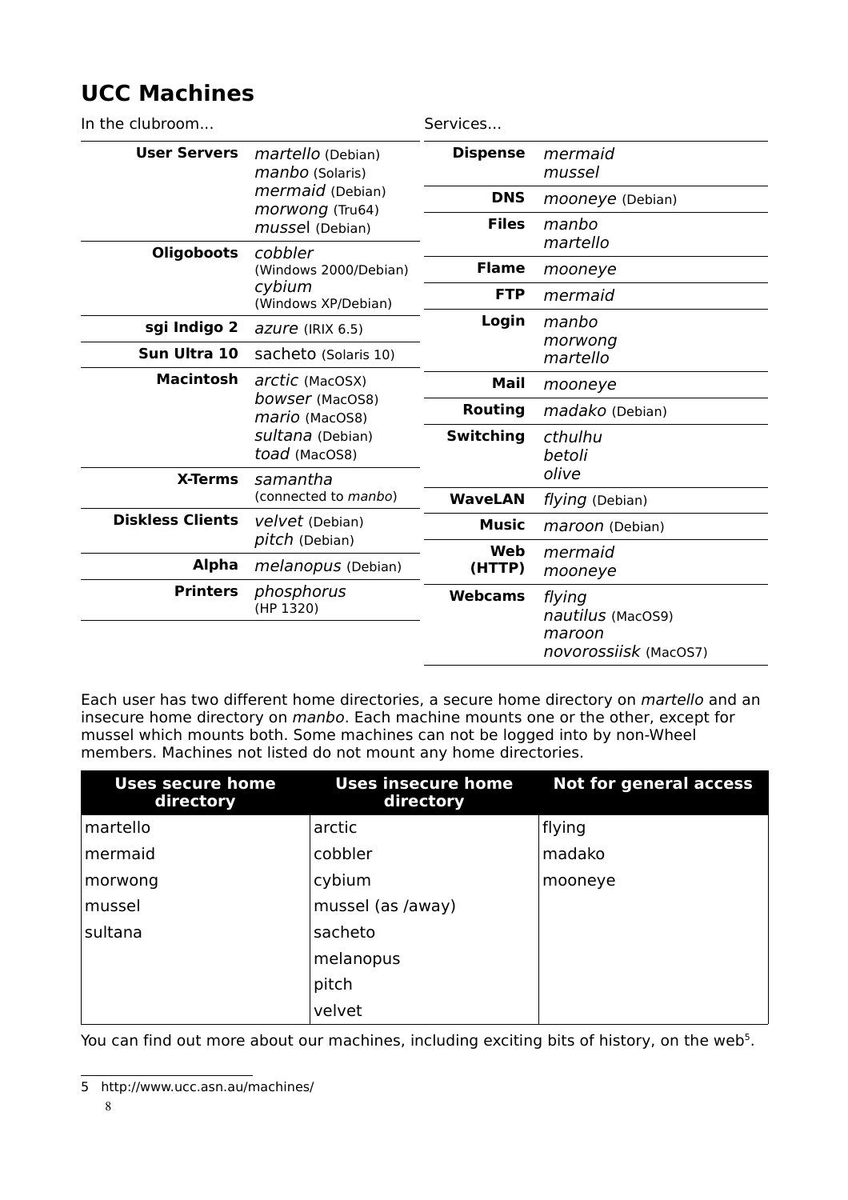# **UCC Machines**

| In the clubroom         |                                                                                                | Services         |                                                                |
|-------------------------|------------------------------------------------------------------------------------------------|------------------|----------------------------------------------------------------|
| <b>User Servers</b>     | martello (Debian)<br>manbo (Solaris)<br>mermaid (Debian)<br>morwong (Tru64)<br>mussel (Debian) | <b>Dispense</b>  | mermaid<br>mussel                                              |
|                         |                                                                                                | <b>DNS</b>       | mooneye (Debian)                                               |
|                         |                                                                                                | <b>Files</b>     | manbo                                                          |
| <b>Oligoboots</b>       | cobbler<br>(Windows 2000/Debian)                                                               |                  | martello                                                       |
|                         |                                                                                                | <b>Flame</b>     | mooneye                                                        |
|                         | cybium<br>(Windows XP/Debian)                                                                  | <b>FTP</b>       | mermaid                                                        |
| sgi Indigo 2            | azure (IRIX 6.5)                                                                               | Login            | manbo                                                          |
| Sun Ultra 10            | sacheto (Solaris 10)                                                                           |                  | morwong<br>martello                                            |
|                         |                                                                                                |                  |                                                                |
| <b>Macintosh</b>        | arctic (MacOSX)<br>bowser (MacOS8)<br>mario (MacOS8)<br>sultana (Debian)<br>toad (MacOS8)      | Mail             | mooneye                                                        |
|                         |                                                                                                | <b>Routing</b>   | madako (Debian)                                                |
|                         |                                                                                                | <b>Switching</b> | cthulhu<br>betoli                                              |
| <b>X-Terms</b>          | samantha<br>(connected to manbo)                                                               |                  | olive                                                          |
|                         |                                                                                                | <b>WaveLAN</b>   | flying (Debian)                                                |
| <b>Diskless Clients</b> | velvet (Debian)<br><i>pitch</i> (Debian)                                                       | <b>Music</b>     | maroon (Debian)                                                |
|                         |                                                                                                | Web              | mermaid                                                        |
| <b>Alpha</b>            | melanopus (Debian)                                                                             | (HTTP)           | mooneye                                                        |
| <b>Printers</b>         | phosphorus<br>(HP 1320)                                                                        | <b>Webcams</b>   | flying<br>nautilus (MacOS9)<br>maroon<br>novorossiisk (MacOS7) |

Each user has two different home directories, a secure home directory on martello and an insecure home directory on manbo. Each machine mounts one or the other, except for mussel which mounts both. Some machines can not be logged into by non-Wheel members. Machines not listed do not mount any home directories.

| <b>Uses secure home</b><br>directory | <b>Uses insecure home</b><br>directory | <b>Not for general access</b> |
|--------------------------------------|----------------------------------------|-------------------------------|
| martello                             | arctic                                 | flying                        |
| mermaid                              | cobbler                                | madako                        |
| morwong                              | cybium                                 | mooneye                       |
| mussel                               | mussel (as /away)                      |                               |
| sultana                              | sacheto                                |                               |
|                                      | melanopus                              |                               |
|                                      | pitch                                  |                               |
|                                      | velvet                                 |                               |

You can find out more about our machines, including exciting bits of history, on the web<sup>[5](#page-7-0)</sup>.

<span id="page-7-0"></span><sup>5</sup> http://www.ucc.asn.au/machines/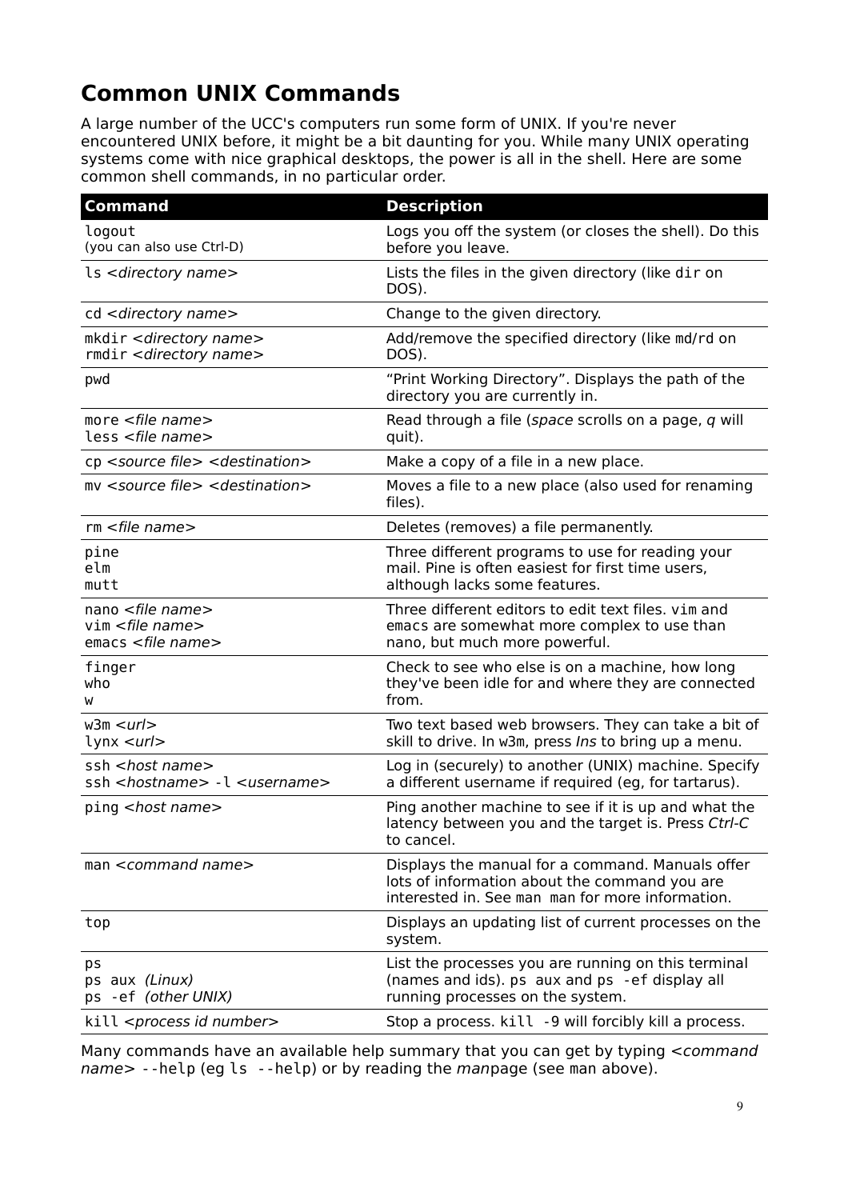# **Common UNIX Commands**

A large number of the UCC's computers run some form of UNIX. If you're never encountered UNIX before, it might be a bit daunting for you. While many UNIX operating systems come with nice graphical desktops, the power is all in the shell. Here are some common shell commands, in no particular order.

| <b>Command</b>                                                                                                                             | <b>Description</b>                                                                                                                                    |
|--------------------------------------------------------------------------------------------------------------------------------------------|-------------------------------------------------------------------------------------------------------------------------------------------------------|
| logout<br>(you can also use Ctrl-D)                                                                                                        | Logs you off the system (or closes the shell). Do this<br>before you leave.                                                                           |
| ls <directory name=""></directory>                                                                                                         | Lists the files in the given directory (like dir on<br>DOS).                                                                                          |
| cd <directory name=""></directory>                                                                                                         | Change to the given directory.                                                                                                                        |
| mkdir < directory name><br>rmdir < directory name>                                                                                         | Add/remove the specified directory (like md/rd on<br>DOS).                                                                                            |
| pwd                                                                                                                                        | "Print Working Directory". Displays the path of the<br>directory you are currently in.                                                                |
| more $\leq$ file name $>$<br>less <file name=""></file>                                                                                    | Read through a file (space scrolls on a page, q will<br>quit).                                                                                        |
| cp <source file=""/> <destination></destination>                                                                                           | Make a copy of a file in a new place.                                                                                                                 |
| my <source file=""/> <destination></destination>                                                                                           | Moves a file to a new place (also used for renaming<br>files).                                                                                        |
| $rm$ <file name=""></file>                                                                                                                 | Deletes (removes) a file permanently.                                                                                                                 |
| pine<br>elm<br>mutt                                                                                                                        | Three different programs to use for reading your<br>mail. Pine is often easiest for first time users,<br>although lacks some features.                |
| nano <file name=""><br/><math>vim</math> <math>\leq</math> file name <math>&gt;</math><br/><math>emacs</math> <file name=""></file></file> | Three different editors to edit text files. vim and<br>emacs are somewhat more complex to use than<br>nano, but much more powerful.                   |
| finger<br>who<br>W                                                                                                                         | Check to see who else is on a machine, how long<br>they've been idle for and where they are connected<br>from.                                        |
| w3m < <i>url</i><br>lynx <url></url>                                                                                                       | Two text based web browsers. They can take a bit of<br>skill to drive. In w3m, press Ins to bring up a menu.                                          |
| ssh <host name=""><br/>ssh <hostname> -l <username></username></hostname></host>                                                           | Log in (securely) to another (UNIX) machine. Specify<br>a different username if required (eg, for tartarus).                                          |
| ping <host name=""></host>                                                                                                                 | Ping another machine to see if it is up and what the<br>latency between you and the target is. Press Ctrl-C<br>to cancel.                             |
| man <command name=""/>                                                                                                                     | Displays the manual for a command. Manuals offer<br>lots of information about the command you are<br>interested in. See man man for more information. |
| top                                                                                                                                        | Displays an updating list of current processes on the<br>system.                                                                                      |
| ps<br>ps aux (Linux)<br>ps - ef (other UNIX)                                                                                               | List the processes you are running on this terminal<br>(names and ids). ps aux and ps - ef display all<br>running processes on the system.            |
| kill <process id="" number=""></process>                                                                                                   | Stop a process. kill -9 will forcibly kill a process.                                                                                                 |

Many commands have an available help summary that you can get by typing <command name> --help (eg ls --help) or by reading the manpage (see man above).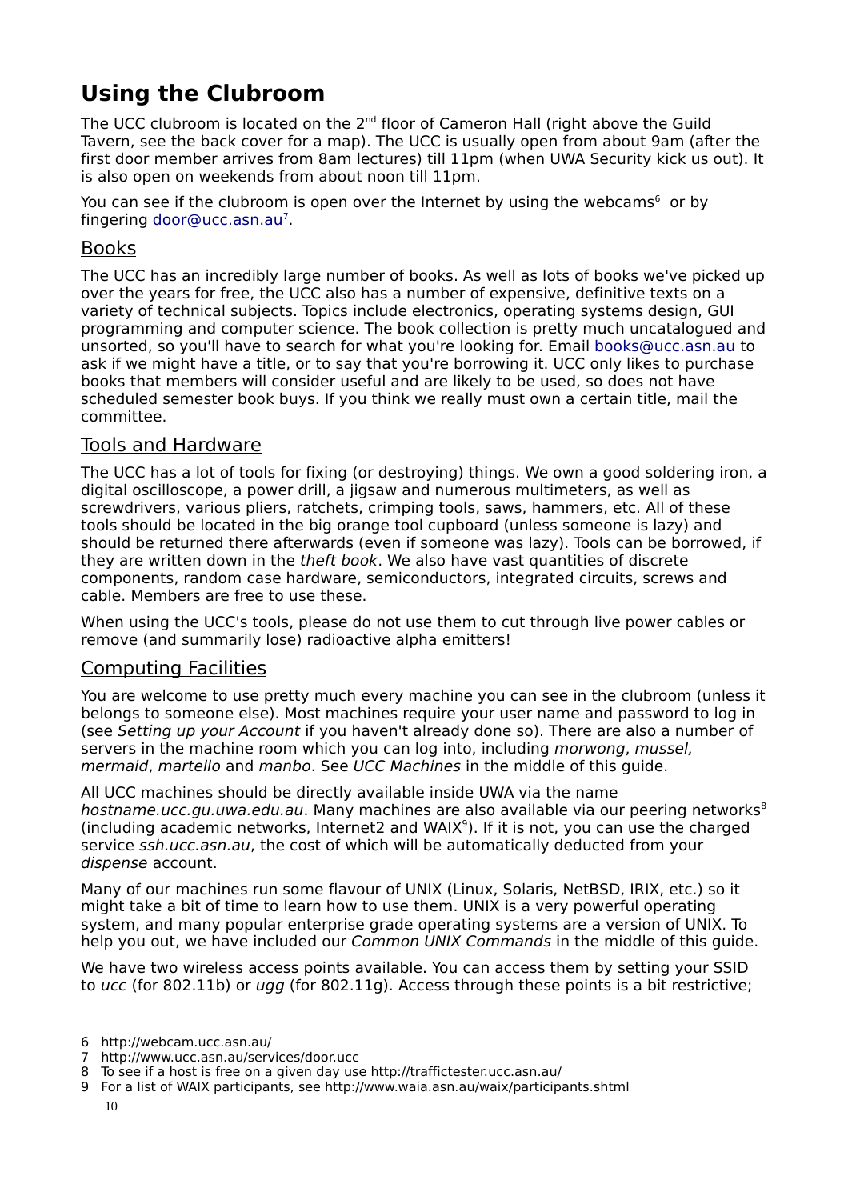# **Using the Clubroom**

The UCC clubroom is located on the 2<sup>nd</sup> floor of Cameron Hall (right above the Guild Tavern, see the back cover for a map). The UCC is usually open from about 9am (after the first door member arrives from 8am lectures) till 11pm (when UWA Security kick us out). It is also open on weekends from about noon till 11pm.

You can see if the clubroom is open over the Internet by using the webcams<sup>[6](#page-9-0)</sup> or by fingering [door@ucc.asn.au](file:///home/davyd/Desktop/door@ucc.asn.au)<sup>[7](#page-9-1)</sup>.

#### Books

The UCC has an incredibly large number of books. As well as lots of books we've picked up over the years for free, the UCC also has a number of expensive, definitive texts on a variety of technical subjects. Topics include electronics, operating systems design, GUI programming and computer science. The book collection is pretty much uncatalogued and unsorted, so you'll have to search for what you're looking for. Email [books@ucc.asn.au](mailto:books@ucc.asn.au) to ask if we might have a title, or to say that you're borrowing it. UCC only likes to purchase books that members will consider useful and are likely to be used, so does not have scheduled semester book buys. If you think we really must own a certain title, mail the committee.

#### Tools and Hardware

The UCC has a lot of tools for fixing (or destroying) things. We own a good soldering iron, a digital oscilloscope, a power drill, a jigsaw and numerous multimeters, as well as screwdrivers, various pliers, ratchets, crimping tools, saws, hammers, etc. All of these tools should be located in the big orange tool cupboard (unless someone is lazy) and should be returned there afterwards (even if someone was lazy). Tools can be borrowed, if they are written down in the theft book. We also have vast quantities of discrete components, random case hardware, semiconductors, integrated circuits, screws and cable. Members are free to use these.

When using the UCC's tools, please do not use them to cut through live power cables or remove (and summarily lose) radioactive alpha emitters!

#### Computing Facilities

You are welcome to use pretty much every machine you can see in the clubroom (unless it belongs to someone else). Most machines require your user name and password to log in (see Setting up your Account if you haven't already done so). There are also a number of servers in the machine room which you can log into, including morwong, mussel, mermaid, martello and manbo. See UCC Machines in the middle of this guide.

All UCC machines should be directly available inside UWA via the name hostname.ucc.gu.uwa.edu.au. Many machines are also available via our peering networks<sup>[8](#page-9-2)</sup> (including academic networks, Internet2 and WAIX<sup>[9](#page-9-3)</sup>). If it is not, you can use the charged service ssh.ucc.asn.au, the cost of which will be automatically deducted from your dispense account.

Many of our machines run some flavour of UNIX (Linux, Solaris, NetBSD, IRIX, etc.) so it might take a bit of time to learn how to use them. UNIX is a very powerful operating system, and many popular enterprise grade operating systems are a version of UNIX. To help you out, we have included our *Common UNIX Commands* in the middle of this quide.

We have two wireless access points available. You can access them by setting your SSID to ucc (for 802.11b) or ugg (for 802.11g). Access through these points is a bit restrictive;

<span id="page-9-0"></span><sup>6</sup> http://webcam.ucc.asn.au/

<span id="page-9-1"></span><sup>7</sup> http://www.ucc.asn.au/services/door.ucc

<span id="page-9-2"></span><sup>8</sup> To see if a host is free on a given day use http://traffictester.ucc.asn.au/

<span id="page-9-3"></span><sup>9</sup> For a list of WAIX participants, see http://www.waia.asn.au/waix/participants.shtml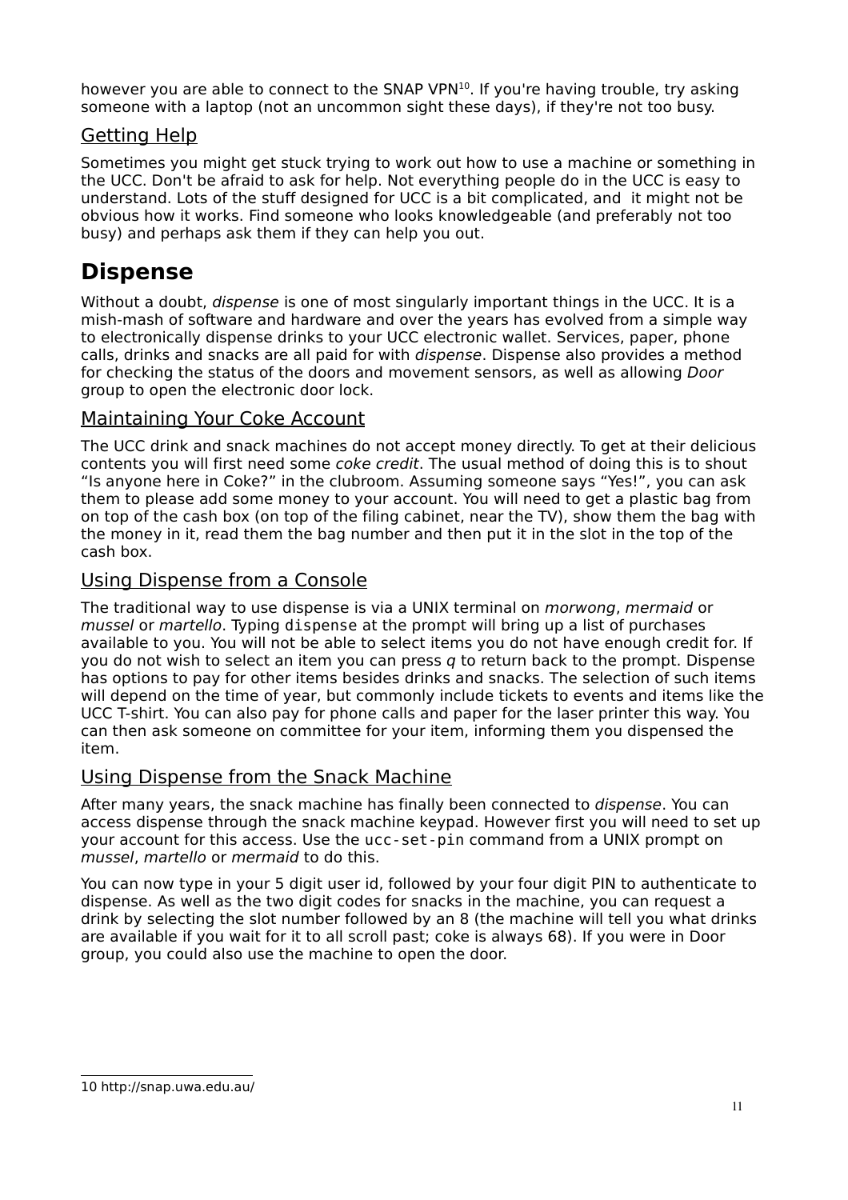however you are able to connect to the SNAP VPN<sup>[10](#page-10-0)</sup>. If you're having trouble, try asking someone with a laptop (not an uncommon sight these days), if they're not too busy.

#### Getting Help

Sometimes you might get stuck trying to work out how to use a machine or something in the UCC. Don't be afraid to ask for help. Not everything people do in the UCC is easy to understand. Lots of the stuff designed for UCC is a bit complicated, and it might not be obvious how it works. Find someone who looks knowledgeable (and preferably not too busy) and perhaps ask them if they can help you out.

### **Dispense**

Without a doubt, *dispense* is one of most singularly important things in the UCC. It is a mish-mash of software and hardware and over the years has evolved from a simple way to electronically dispense drinks to your UCC electronic wallet. Services, paper, phone calls, drinks and snacks are all paid for with dispense. Dispense also provides a method for checking the status of the doors and movement sensors, as well as allowing Door group to open the electronic door lock.

#### Maintaining Your Coke Account

The UCC drink and snack machines do not accept money directly. To get at their delicious contents you will first need some coke credit. The usual method of doing this is to shout "Is anyone here in Coke?" in the clubroom. Assuming someone says "Yes!", you can ask them to please add some money to your account. You will need to get a plastic bag from on top of the cash box (on top of the filing cabinet, near the TV), show them the bag with the money in it, read them the bag number and then put it in the slot in the top of the cash box.

#### Using Dispense from a Console

The traditional way to use dispense is via a UNIX terminal on morwong, mermaid or mussel or martello. Typing dispense at the prompt will bring up a list of purchases available to you. You will not be able to select items you do not have enough credit for. If you do not wish to select an item you can press  $q$  to return back to the prompt. Dispense has options to pay for other items besides drinks and snacks. The selection of such items will depend on the time of year, but commonly include tickets to events and items like the UCC T-shirt. You can also pay for phone calls and paper for the laser printer this way. You can then ask someone on committee for your item, informing them you dispensed the item.

#### Using Dispense from the Snack Machine

After many years, the snack machine has finally been connected to dispense. You can access dispense through the snack machine keypad. However first you will need to set up your account for this access. Use the ucc-set-pin command from a UNIX prompt on mussel, martello or mermaid to do this.

<span id="page-10-0"></span>You can now type in your 5 digit user id, followed by your four digit PIN to authenticate to dispense. As well as the two digit codes for snacks in the machine, you can request a drink by selecting the slot number followed by an 8 (the machine will tell you what drinks are available if you wait for it to all scroll past; coke is always 68). If you were in Door group, you could also use the machine to open the door.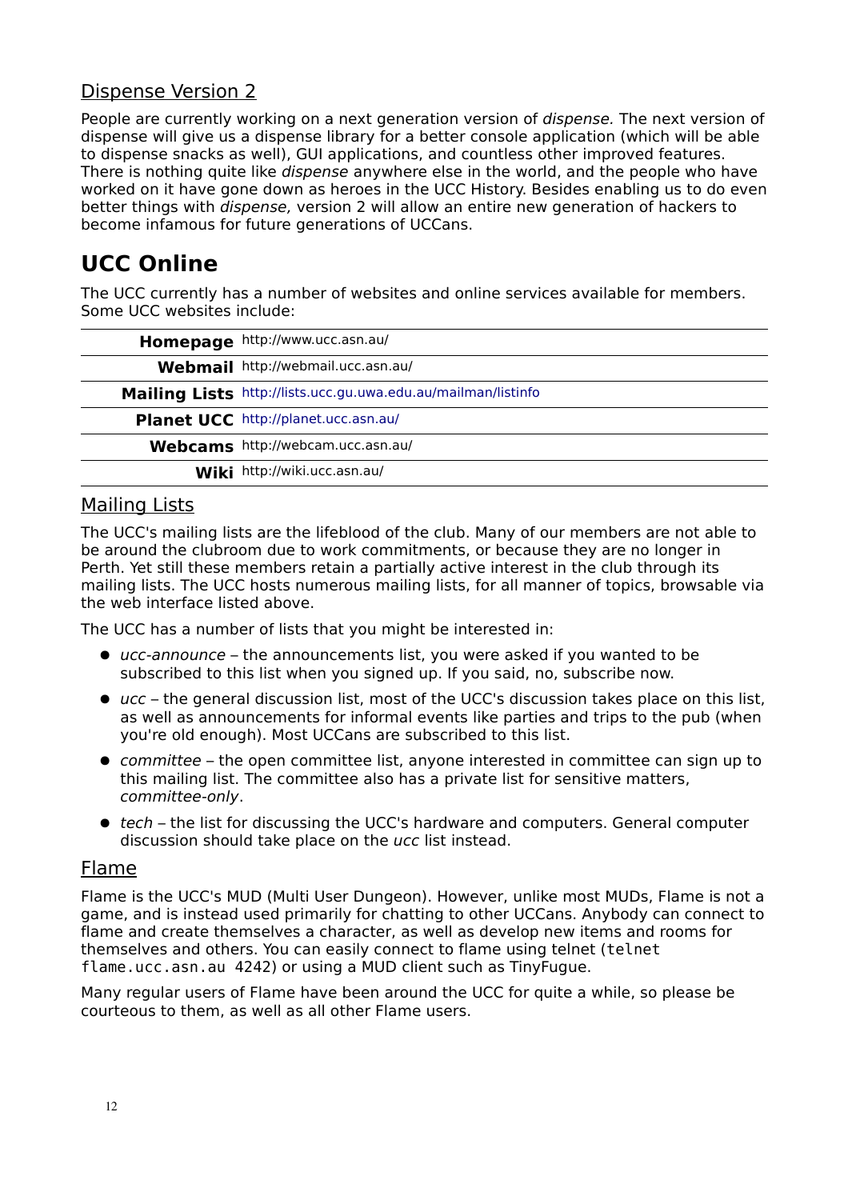### Dispense Version 2

People are currently working on a next generation version of *dispense*. The next version of dispense will give us a dispense library for a better console application (which will be able to dispense snacks as well), GUI applications, and countless other improved features. There is nothing quite like *dispense* anywhere else in the world, and the people who have worked on it have gone down as heroes in the UCC History. Besides enabling us to do even better things with dispense, version 2 will allow an entire new generation of hackers to become infamous for future generations of UCCans.

# **UCC Online**

The UCC currently has a number of websites and online services available for members. Some UCC websites include:

| Homepage http://www.ucc.asn.au/                               |
|---------------------------------------------------------------|
| Webmail http://webmail.ucc.asn.au/                            |
| Mailing Lists http://lists.ucc.gu.uwa.edu.au/mailman/listinfo |
| Planet UCC http://planet.ucc.asn.au/                          |
| Webcams http://webcam.ucc.asn.au/                             |
| Wiki http://wiki.ucc.asn.au/                                  |

### Mailing Lists

The UCC's mailing lists are the lifeblood of the club. Many of our members are not able to be around the clubroom due to work commitments, or because they are no longer in Perth. Yet still these members retain a partially active interest in the club through its mailing lists. The UCC hosts numerous mailing lists, for all manner of topics, browsable via the web interface listed above.

The UCC has a number of lists that you might be interested in:

- ucc-announce the announcements list, you were asked if you wanted to be subscribed to this list when you signed up. If you said, no, subscribe now.
- $\bullet$  ucc the general discussion list, most of the UCC's discussion takes place on this list, as well as announcements for informal events like parties and trips to the pub (when you're old enough). Most UCCans are subscribed to this list.
- committee the open committee list, anyone interested in committee can sign up to this mailing list. The committee also has a private list for sensitive matters, committee-only.
- tech the list for discussing the UCC's hardware and computers. General computer discussion should take place on the ucc list instead.

#### Flame

Flame is the UCC's MUD (Multi User Dungeon). However, unlike most MUDs, Flame is not a game, and is instead used primarily for chatting to other UCCans. Anybody can connect to flame and create themselves a character, as well as develop new items and rooms for themselves and others. You can easily connect to flame using telnet (telnet flame.ucc.asn.au 4242) or using a MUD client such as TinyFugue.

Many regular users of Flame have been around the UCC for quite a while, so please be courteous to them, as well as all other Flame users.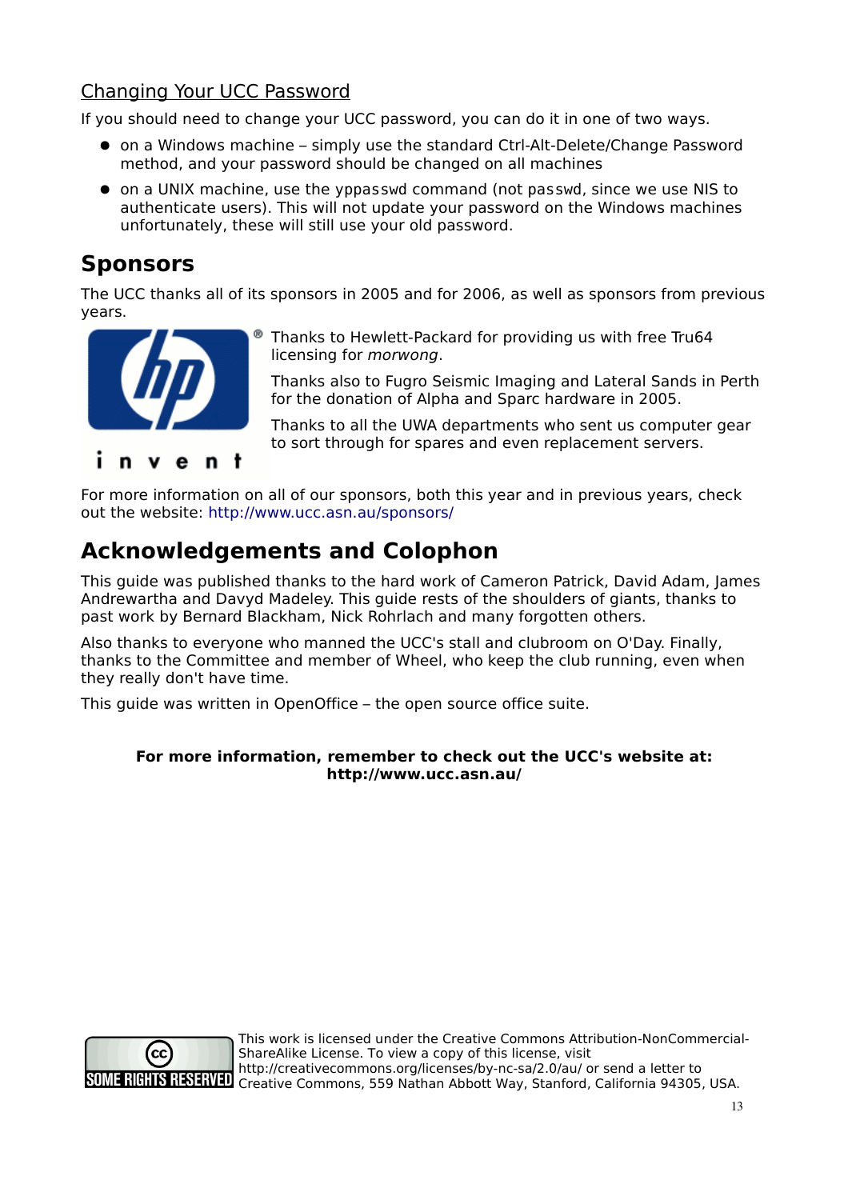### Changing Your UCC Password

If you should need to change your UCC password, you can do it in one of two ways.

- on a Windows machine simply use the standard Ctrl-Alt-Delete/Change Password method, and your password should be changed on all machines
- on a UNIX machine, use the yppasswd command (not passwd, since we use NIS to authenticate users). This will not update your password on the Windows machines unfortunately, these will still use your old password.

### **Sponsors**

The UCC thanks all of its sponsors in 2005 and for 2006, as well as sponsors from previous years.



Thanks to Hewlett-Packard for providing us with free Tru64 licensing for morwong.

Thanks also to Fugro Seismic Imaging and Lateral Sands in Perth for the donation of Alpha and Sparc hardware in 2005.

Thanks to all the UWA departments who sent us computer gear to sort through for spares and even replacement servers.

For more information on all of our sponsors, both this year and in previous years, check out the website: <http://www.ucc.asn.au/sponsors/>

## **Acknowledgements and Colophon**

This guide was published thanks to the hard work of Cameron Patrick, David Adam, James Andrewartha and Davyd Madeley. This guide rests of the shoulders of giants, thanks to past work by Bernard Blackham, Nick Rohrlach and many forgotten others.

Also thanks to everyone who manned the UCC's stall and clubroom on O'Day. Finally, thanks to the Committee and member of Wheel, who keep the club running, even when they really don't have time.

This guide was written in OpenOffice – the open source office suite.

#### **For more information, remember to check out the UCC's website at: http://www.ucc.asn.au/**



This work is licensed under the Creative Commons Attribution-NonCommercial-ShareAlike License. To view a copy of this license, visit http://creativecommons.org/licenses/by-nc-sa/2.0/au/ or send a letter to SOME RIGHTS RESERVED Trep.//Creative Commons, 559 Nathan Abbott Way, Stanford, California 94305, USA.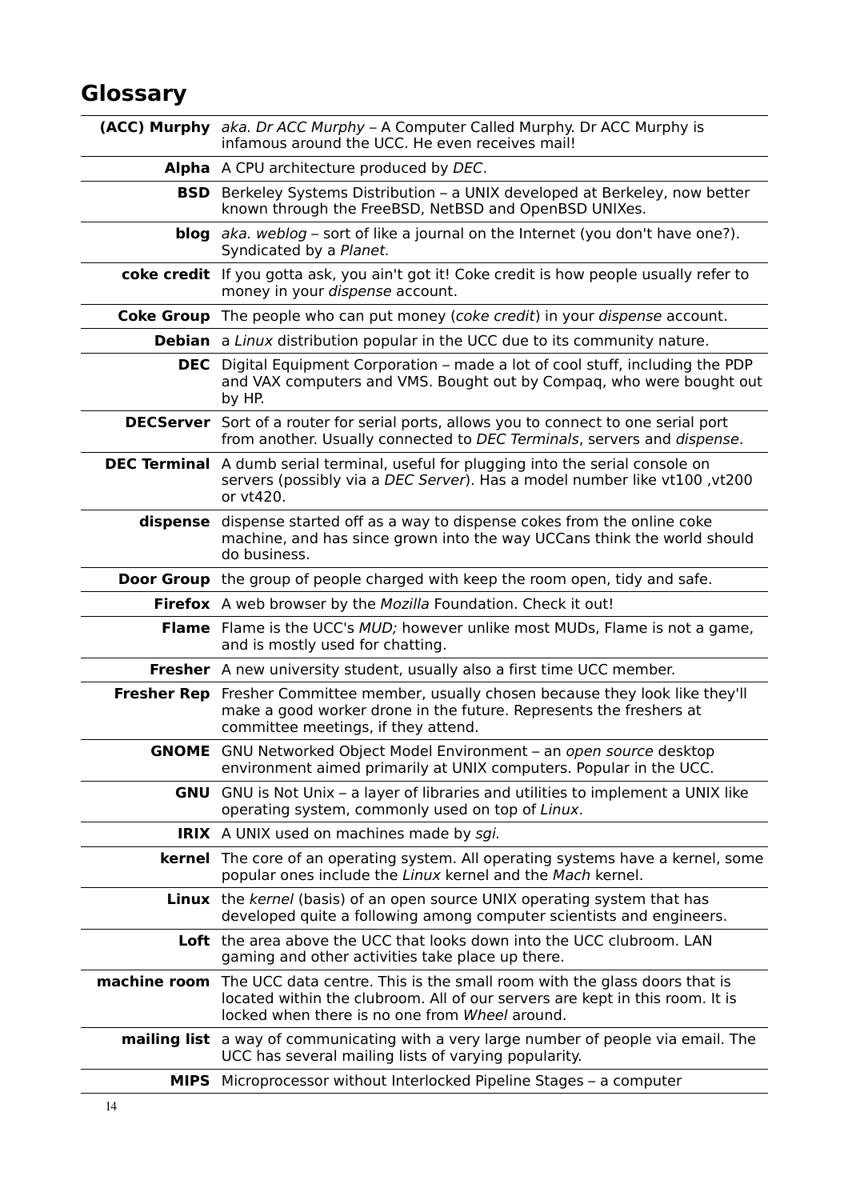# **Glossary**

|          | <b>(ACC) Murphy</b> aka. Dr ACC Murphy – A Computer Called Murphy. Dr ACC Murphy is<br>infamous around the UCC. He even receives mail!                                                                                         |
|----------|--------------------------------------------------------------------------------------------------------------------------------------------------------------------------------------------------------------------------------|
|          | Alpha A CPU architecture produced by DEC.                                                                                                                                                                                      |
|          | <b>BSD</b> Berkeley Systems Distribution – a UNIX developed at Berkeley, now better<br>known through the FreeBSD, NetBSD and OpenBSD UNIXes.                                                                                   |
|          | <b>blog</b> aka. weblog – sort of like a journal on the Internet (you don't have one?).<br>Syndicated by a Planet.                                                                                                             |
|          | coke credit If you gotta ask, you ain't got it! Coke credit is how people usually refer to<br>money in your dispense account.                                                                                                  |
|          | <b>Coke Group</b> The people who can put money (coke credit) in your dispense account.                                                                                                                                         |
|          | <b>Debian</b> a Linux distribution popular in the UCC due to its community nature.                                                                                                                                             |
|          | <b>DEC</b> Digital Equipment Corporation – made a lot of cool stuff, including the PDP<br>and VAX computers and VMS. Bought out by Compaq, who were bought out<br>by HP.                                                       |
|          | <b>DECServer</b> Sort of a router for serial ports, allows you to connect to one serial port<br>from another. Usually connected to DEC Terminals, servers and dispense.                                                        |
|          | DEC Terminal A dumb serial terminal, useful for plugging into the serial console on<br>servers (possibly via a DEC Server). Has a model number like vt100, vt200<br>or vt420.                                                  |
| dispense | dispense started off as a way to dispense cokes from the online coke<br>machine, and has since grown into the way UCCans think the world should<br>do business.                                                                |
|          | <b>Door Group</b> the group of people charged with keep the room open, tidy and safe.                                                                                                                                          |
|          | Firefox A web browser by the Mozilla Foundation. Check it out!                                                                                                                                                                 |
|          | Flame Flame is the UCC's MUD; however unlike most MUDs, Flame is not a game,<br>and is mostly used for chatting.                                                                                                               |
|          | <b>Fresher</b> A new university student, usually also a first time UCC member.                                                                                                                                                 |
|          | Fresher Rep Fresher Committee member, usually chosen because they look like they'll<br>make a good worker drone in the future. Represents the freshers at<br>committee meetings, if they attend.                               |
|          | <b>GNOME</b> GNU Networked Object Model Environment - an open source desktop<br>environment aimed primarily at UNIX computers. Popular in the UCC.                                                                             |
|          | <b>GNU</b> GNU is Not Unix - a layer of libraries and utilities to implement a UNIX like<br>operating system, commonly used on top of Linux.                                                                                   |
|          | <b>IRIX</b> A UNIX used on machines made by sgi.                                                                                                                                                                               |
|          | <b>kernel</b> The core of an operating system. All operating systems have a kernel, some<br>popular ones include the Linux kernel and the Mach kernel.                                                                         |
|          | <b>Linux</b> the kernel (basis) of an open source UNIX operating system that has<br>developed quite a following among computer scientists and engineers.                                                                       |
|          | Loft the area above the UCC that looks down into the UCC clubroom. LAN<br>gaming and other activities take place up there.                                                                                                     |
|          | <b>machine room</b> The UCC data centre. This is the small room with the glass doors that is<br>located within the clubroom. All of our servers are kept in this room. It is<br>locked when there is no one from Wheel around. |
|          | <b>mailing list</b> a way of communicating with a very large number of people via email. The<br>UCC has several mailing lists of varying popularity.                                                                           |
|          | <b>MIPS</b> Microprocessor without Interlocked Pipeline Stages – a computer                                                                                                                                                    |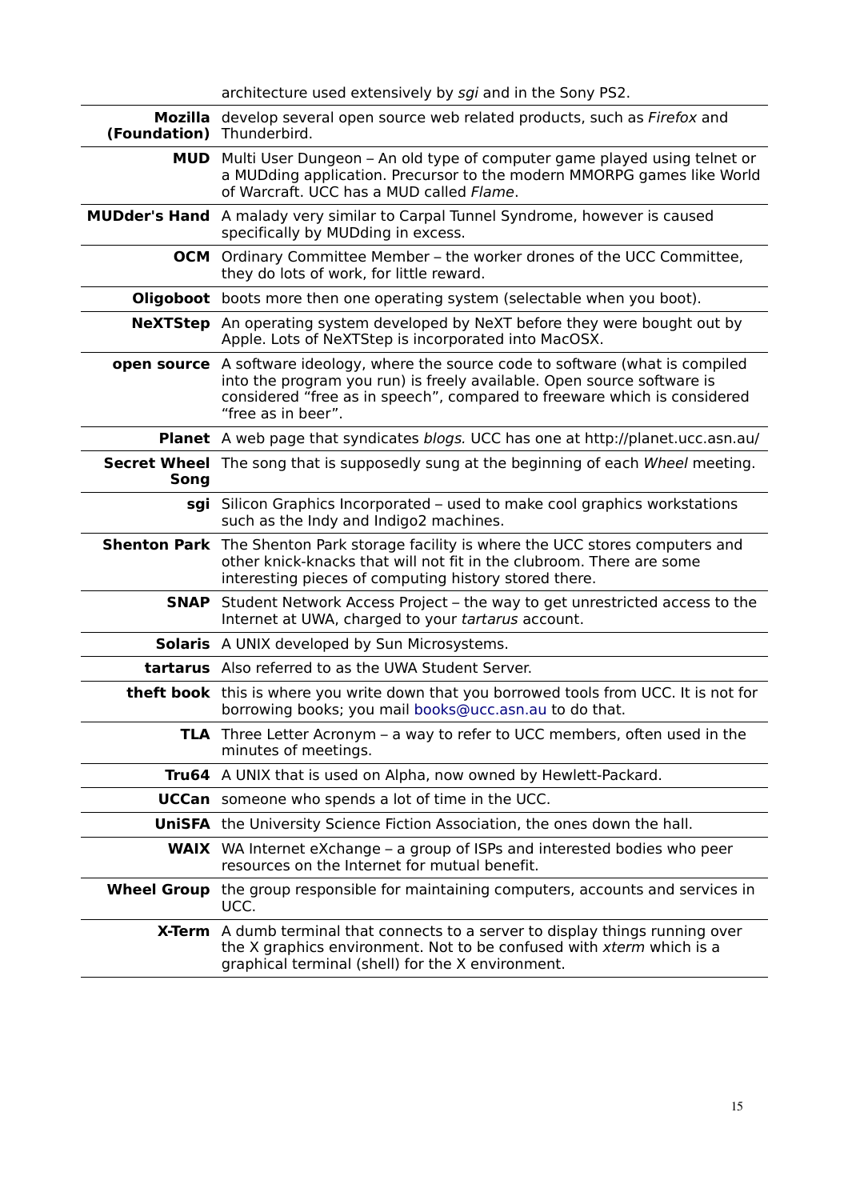| architecture used extensively by sgi and in the Sony PS2. |  |  |  |  |  |
|-----------------------------------------------------------|--|--|--|--|--|
|-----------------------------------------------------------|--|--|--|--|--|

| (Foundation) Thunderbird. | Mozilla develop several open source web related products, such as Firefox and                                                                                                                                                                                           |
|---------------------------|-------------------------------------------------------------------------------------------------------------------------------------------------------------------------------------------------------------------------------------------------------------------------|
|                           | <b>MUD</b> Multi User Dungeon – An old type of computer game played using telnet or<br>a MUDding application. Precursor to the modern MMORPG games like World<br>of Warcraft. UCC has a MUD called Flame.                                                               |
|                           | <b>MUDder's Hand</b> A malady very similar to Carpal Tunnel Syndrome, however is caused<br>specifically by MUDding in excess.                                                                                                                                           |
|                           | <b>OCM</b> Ordinary Committee Member – the worker drones of the UCC Committee,<br>they do lots of work, for little reward.                                                                                                                                              |
|                           | <b>Oligoboot</b> boots more then one operating system (selectable when you boot).                                                                                                                                                                                       |
|                           | <b>NeXTStep</b> An operating system developed by NeXT before they were bought out by<br>Apple. Lots of NeXTStep is incorporated into MacOSX.                                                                                                                            |
|                           | <b>open source</b> A software ideology, where the source code to software (what is compiled<br>into the program you run) is freely available. Open source software is<br>considered "free as in speech", compared to freeware which is considered<br>"free as in beer". |
|                           | <b>Planet</b> A web page that syndicates blogs. UCC has one at http://planet.ucc.asn.au/                                                                                                                                                                                |
| Song                      | <b>Secret Wheel</b> The song that is supposedly sung at the beginning of each Wheel meeting.                                                                                                                                                                            |
|                           | sgi Silicon Graphics Incorporated – used to make cool graphics workstations<br>such as the Indy and Indigo2 machines.                                                                                                                                                   |
|                           | <b>Shenton Park</b> The Shenton Park storage facility is where the UCC stores computers and<br>other knick-knacks that will not fit in the clubroom. There are some<br>interesting pieces of computing history stored there.                                            |
| <b>SNAP</b>               | Student Network Access Project – the way to get unrestricted access to the<br>Internet at UWA, charged to your tartarus account.                                                                                                                                        |
|                           | <b>Solaris</b> A UNIX developed by Sun Microsystems.                                                                                                                                                                                                                    |
|                           | <b>tartarus</b> Also referred to as the UWA Student Server.                                                                                                                                                                                                             |
|                           | theft book this is where you write down that you borrowed tools from UCC. It is not for<br>borrowing books; you mail books@ucc.asn.au to do that.                                                                                                                       |
|                           | TLA Three Letter Acronym - a way to refer to UCC members, often used in the<br>minutes of meetings.                                                                                                                                                                     |
|                           | Tru64 A UNIX that is used on Alpha, now owned by Hewlett-Packard.                                                                                                                                                                                                       |
|                           | <b>UCCan</b> someone who spends a lot of time in the UCC.                                                                                                                                                                                                               |
|                           | <b>UniSFA</b> the University Science Fiction Association, the ones down the hall.                                                                                                                                                                                       |
|                           | <b>WAIX</b> WA Internet eXchange – a group of ISPs and interested bodies who peer<br>resources on the Internet for mutual benefit.                                                                                                                                      |
|                           | <b>Wheel Group</b> the group responsible for maintaining computers, accounts and services in<br>UCC.                                                                                                                                                                    |
|                           | <b>X-Term</b> A dumb terminal that connects to a server to display things running over<br>the X graphics environment. Not to be confused with xterm which is a<br>graphical terminal (shell) for the X environment.                                                     |